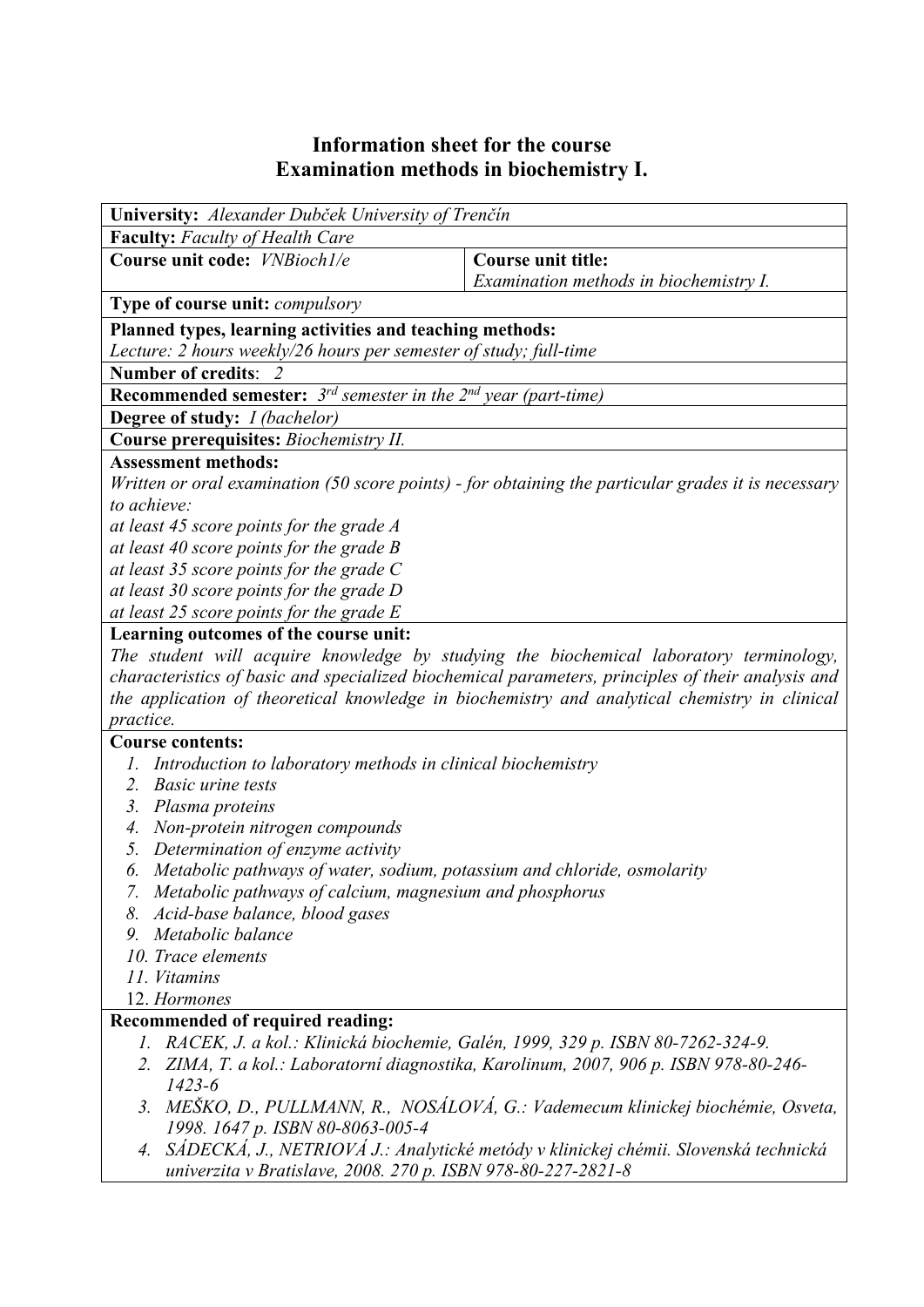## **Information sheet for the course Examination methods in biochemistry I.**

| University: Alexander Dubček University of Trenčín                                                                            |                                        |  |  |  |  |
|-------------------------------------------------------------------------------------------------------------------------------|----------------------------------------|--|--|--|--|
| <b>Faculty:</b> Faculty of Health Care                                                                                        |                                        |  |  |  |  |
| Course unit code: <i>VNBioch1/e</i>                                                                                           | <b>Course unit title:</b>              |  |  |  |  |
|                                                                                                                               | Examination methods in biochemistry I. |  |  |  |  |
| <b>Type of course unit:</b> <i>compulsory</i>                                                                                 |                                        |  |  |  |  |
| Planned types, learning activities and teaching methods:                                                                      |                                        |  |  |  |  |
| Lecture: 2 hours weekly/26 hours per semester of study; full-time                                                             |                                        |  |  |  |  |
| Number of credits: 2                                                                                                          |                                        |  |  |  |  |
| <b>Recommended semester:</b> $3^{rd}$ semester in the $2^{nd}$ year (part-time)                                               |                                        |  |  |  |  |
| <b>Degree of study:</b> <i>I (bachelor)</i>                                                                                   |                                        |  |  |  |  |
| Course prerequisites: Biochemistry II.                                                                                        |                                        |  |  |  |  |
| <b>Assessment methods:</b>                                                                                                    |                                        |  |  |  |  |
| Written or oral examination (50 score points) - for obtaining the particular grades it is necessary                           |                                        |  |  |  |  |
| to achieve:                                                                                                                   |                                        |  |  |  |  |
| at least 45 score points for the grade A                                                                                      |                                        |  |  |  |  |
| at least 40 score points for the grade $B$                                                                                    |                                        |  |  |  |  |
| at least 35 score points for the grade $C$                                                                                    |                                        |  |  |  |  |
| at least 30 score points for the grade D                                                                                      |                                        |  |  |  |  |
| at least 25 score points for the grade $E$                                                                                    |                                        |  |  |  |  |
| Learning outcomes of the course unit:                                                                                         |                                        |  |  |  |  |
| The student will acquire knowledge by studying the biochemical laboratory terminology,                                        |                                        |  |  |  |  |
| characteristics of basic and specialized biochemical parameters, principles of their analysis and                             |                                        |  |  |  |  |
| the application of theoretical knowledge in biochemistry and analytical chemistry in clinical                                 |                                        |  |  |  |  |
| practice.                                                                                                                     |                                        |  |  |  |  |
| <b>Course contents:</b><br>Introduction to laboratory methods in clinical biochemistry                                        |                                        |  |  |  |  |
| <b>Basic urine tests</b><br>2.                                                                                                |                                        |  |  |  |  |
| 3. Plasma proteins                                                                                                            |                                        |  |  |  |  |
| 4. Non-protein nitrogen compounds                                                                                             |                                        |  |  |  |  |
| 5. Determination of enzyme activity                                                                                           |                                        |  |  |  |  |
| Metabolic pathways of water, sodium, potassium and chloride, osmolarity<br>6.                                                 |                                        |  |  |  |  |
| 7. Metabolic pathways of calcium, magnesium and phosphorus                                                                    |                                        |  |  |  |  |
| 8. Acid-base balance, blood gases                                                                                             |                                        |  |  |  |  |
| 9. Metabolic balance                                                                                                          |                                        |  |  |  |  |
| 10. Trace elements                                                                                                            |                                        |  |  |  |  |
| 11. Vitamins                                                                                                                  |                                        |  |  |  |  |
| 12. Hormones                                                                                                                  |                                        |  |  |  |  |
| Recommended of required reading:                                                                                              |                                        |  |  |  |  |
| 1. RACEK, J. a kol.: Klinická biochemie, Galén, 1999, 329 p. ISBN 80-7262-324-9.                                              |                                        |  |  |  |  |
| 2. ZIMA, T. a kol.: Laboratorní diagnostika, Karolinum, 2007, 906 p. ISBN 978-80-246-                                         |                                        |  |  |  |  |
| $1423 - 6$                                                                                                                    |                                        |  |  |  |  |
| 3. MEŠKO, D., PULLMANN, R., NOSÁLOVÁ, G.: Vademecum klinickej biochémie, Osveta,                                              |                                        |  |  |  |  |
| 1998. 1647 p. ISBN 80-8063-005-4<br>SÁDECKÁ, J., NETRIOVÁ J.: Analytické metódy v klinickej chémii. Slovenská technická<br>4. |                                        |  |  |  |  |
| univerzita v Bratislave, 2008. 270 p. ISBN 978-80-227-2821-8                                                                  |                                        |  |  |  |  |